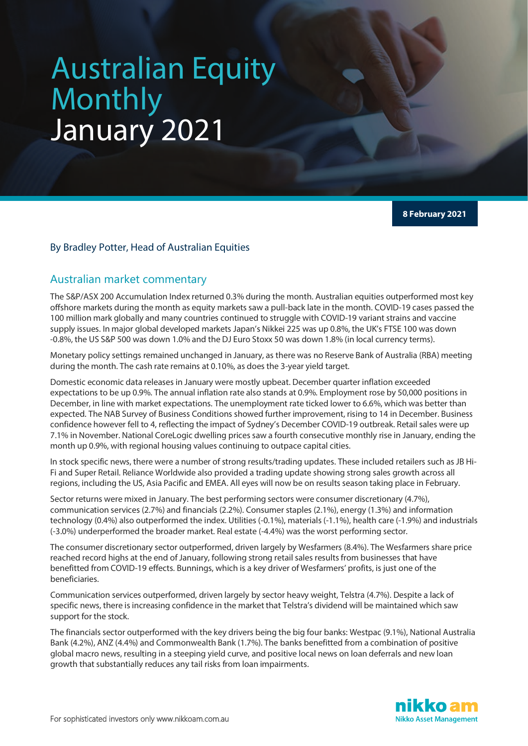# Australian Equity Monthly January 2021

**8 February 2021**

### By Bradley Potter, Head of Australian Equities

# Australian market commentary

The S&P/ASX 200 Accumulation Index returned 0.3% during the month. Australian equities outperformed most key offshore markets during the month as equity markets saw a pull-back late in the month. COVID-19 cases passed the 100 million mark globally and many countries continued to struggle with COVID-19 variant strains and vaccine supply issues. In major global developed markets Japan's Nikkei 225 was up 0.8%, the UK's FTSE 100 was down -0.8%, the US S&P 500 was down 1.0% and the DJ Euro Stoxx 50 was down 1.8% (in local currency terms).

Monetary policy settings remained unchanged in January, as there was no Reserve Bank of Australia (RBA) meeting during the month. The cash rate remains at 0.10%, as does the 3-year yield target.

Domestic economic data releases in January were mostly upbeat. December quarter inflation exceeded expectations to be up 0.9%. The annual inflation rate also stands at 0.9%. Employment rose by 50,000 positions in December, in line with market expectations. The unemployment rate ticked lower to 6.6%, which was better than expected. The NAB Survey of Business Conditions showed further improvement, rising to 14 in December. Business confidence however fell to 4, reflecting the impact of Sydney's December COVID-19 outbreak. Retail sales were up 7.1% in November. National CoreLogic dwelling prices saw a fourth consecutive monthly rise in January, ending the month up 0.9%, with regional housing values continuing to outpace capital cities.

In stock specific news, there were a number of strong results/trading updates. These included retailers such as JB Hi-Fi and Super Retail. Reliance Worldwide also provided a trading update showing strong sales growth across all regions, including the US, Asia Pacific and EMEA. All eyes will now be on results season taking place in February.

Sector returns were mixed in January. The best performing sectors were consumer discretionary (4.7%), communication services (2.7%) and financials (2.2%). Consumer staples (2.1%), energy (1.3%) and information technology (0.4%) also outperformed the index. Utilities (-0.1%), materials (-1.1%), health care (-1.9%) and industrials (-3.0%) underperformed the broader market. Real estate (-4.4%) was the worst performing sector.

The consumer discretionary sector outperformed, driven largely by Wesfarmers (8.4%). The Wesfarmers share price reached record highs at the end of January, following strong retail sales results from businesses that have benefitted from COVID-19 effects. Bunnings, which is a key driver of Wesfarmers' profits, is just one of the beneficiaries.

Communication services outperformed, driven largely by sector heavy weight, Telstra (4.7%). Despite a lack of specific news, there is increasing confidence in the market that Telstra's dividend will be maintained which saw support for the stock.

The financials sector outperformed with the key drivers being the big four banks: Westpac (9.1%), National Australia Bank (4.2%), ANZ (4.4%) and Commonwealth Bank (1.7%). The banks benefitted from a combination of positive global macro news, resulting in a steeping yield curve, and positive local news on loan deferrals and new loan growth that substantially reduces any tail risks from loan impairments.

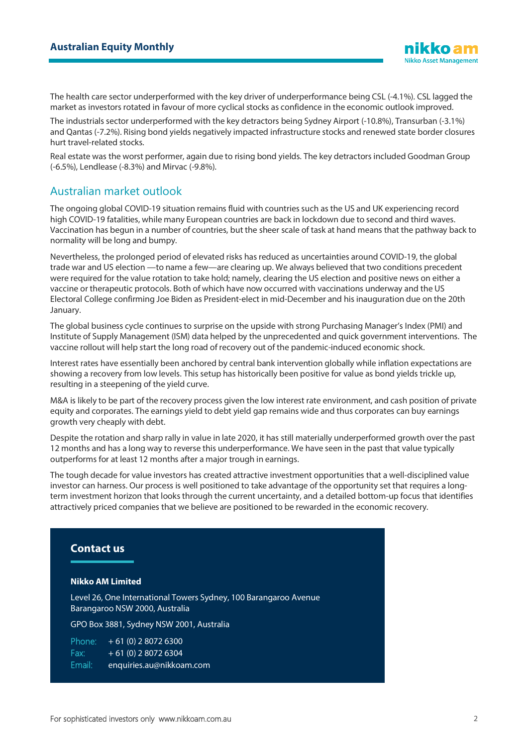The health care sector underperformed with the key driver of underperformance being CSL (-4.1%). CSL lagged the market as investors rotated in favour of more cyclical stocks as confidence in the economic outlook improved.

The industrials sector underperformed with the key detractors being Sydney Airport (-10.8%), Transurban (-3.1%) and Qantas (-7.2%). Rising bond yields negatively impacted infrastructure stocks and renewed state border closures hurt travel-related stocks.

Real estate was the worst performer, again due to rising bond yields. The key detractors included Goodman Group (-6.5%), Lendlease (-8.3%) and Mirvac (-9.8%).

# Australian market outlook

The ongoing global COVID-19 situation remains fluid with countries such as the US and UK experiencing record high COVID-19 fatalities, while many European countries are back in lockdown due to second and third waves. Vaccination has begun in a number of countries, but the sheer scale of task at hand means that the pathway back to normality will be long and bumpy.

Nevertheless, the prolonged period of elevated risks has reduced as uncertainties around COVID-19, the global trade war and US election —to name a few—are clearing up. We always believed that two conditions precedent were required for the value rotation to take hold; namely, clearing the US election and positive news on either a vaccine or therapeutic protocols. Both of which have now occurred with vaccinations underway and the US Electoral College confirming Joe Biden as President-elect in mid-December and his inauguration due on the 20th January.

The global business cycle continues to surprise on the upside with strong Purchasing Manager's Index (PMI) and Institute of Supply Management (ISM) data helped by the unprecedented and quick government interventions. The vaccine rollout will help start the long road of recovery out of the pandemic-induced economic shock.

Interest rates have essentially been anchored by central bank intervention globally while inflation expectations are showing a recovery from low levels. This setup has historically been positive for value as bond yields trickle up, resulting in a steepening of the yield curve.

M&A is likely to be part of the recovery process given the low interest rate environment, and cash position of private equity and corporates. The earnings yield to debt yield gap remains wide and thus corporates can buy earnings growth very cheaply with debt.

Despite the rotation and sharp rally in value in late 2020, it has still materially underperformed growth over the past 12 months and has a long way to reverse this underperformance. We have seen in the past that value typically outperforms for at least 12 months after a major trough in earnings.

The tough decade for value investors has created attractive investment opportunities that a well-disciplined value investor can harness. Our process is well positioned to take advantage of the opportunity set that requires a longterm investment horizon that looks through the current uncertainty, and a detailed bottom-up focus that identifies attractively priced companies that we believe are positioned to be rewarded in the economic recovery.

### **Contact us**

#### **Nikko AM Limited**

Level 26, One International Towers Sydney, 100 Barangaroo Avenue Barangaroo NSW 2000, Australia

GPO Box 3881, Sydney NSW 2001, Australia

Phone:  $+61(0)$  2 8072 6300 Fax:  $+ 61 (0) 280726304$ Email: enquiries.au@nikkoam.com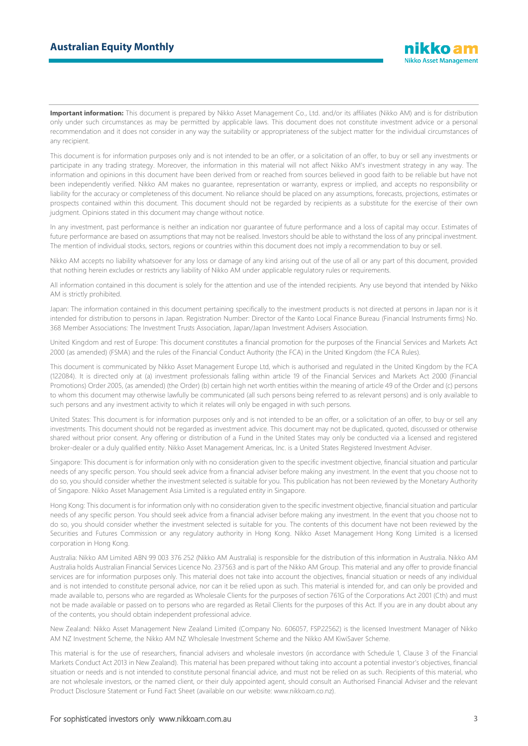Important information: This document is prepared by Nikko Asset Management Co., Ltd. and/or its affiliates (Nikko AM) and is for distribution only under such circumstances as may be permitted by applicable laws. This document does not constitute investment advice or a personal recommendation and it does not consider in any way the suitability or appropriateness of the subject matter for the individual circumstances of any recipient.

This document is for information purposes only and is not intended to be an offer, or a solicitation of an offer, to buy or sell any investments or participate in any trading strategy. Moreover, the information in this material will not affect Nikko AM's investment strategy in any way. The information and opinions in this document have been derived from or reached from sources believed in good faith to be reliable but have not been independently verified. Nikko AM makes no guarantee, representation or warranty, express or implied, and accepts no responsibility or liability for the accuracy or completeness of this document. No reliance should be placed on any assumptions, forecasts, projections, estimates or prospects contained within this document. This document should not be regarded by recipients as a substitute for the exercise of their own judgment. Opinions stated in this document may change without notice.

In any investment, past performance is neither an indication nor guarantee of future performance and a loss of capital may occur. Estimates of future performance are based on assumptions that may not be realised. Investors should be able to withstand the loss of any principal investment. The mention of individual stocks, sectors, regions or countries within this document does not imply a recommendation to buy or sell.

Nikko AM accepts no liability whatsoever for any loss or damage of any kind arising out of the use of all or any part of this document, provided that nothing herein excludes or restricts any liability of Nikko AM under applicable regulatory rules or requirements.

All information contained in this document is solely for the attention and use of the intended recipients. Any use beyond that intended by Nikko AM is strictly prohibited.

Japan: The information contained in this document pertaining specifically to the investment products is not directed at persons in Japan nor is it intended for distribution to persons in Japan. Registration Number: Director of the Kanto Local Finance Bureau (Financial Instruments firms) No. 368 Member Associations: The Investment Trusts Association, Japan/Japan Investment Advisers Association.

United Kingdom and rest of Europe: This document constitutes a financial promotion for the purposes of the Financial Services and Markets Act 2000 (as amended) (FSMA) and the rules of the Financial Conduct Authority (the FCA) in the United Kingdom (the FCA Rules).

This document is communicated by Nikko Asset Management Europe Ltd, which is authorised and regulated in the United Kingdom by the FCA (122084). It is directed only at (a) investment professionals falling within article 19 of the Financial Services and Markets Act 2000 (Financial Promotions) Order 2005, (as amended) (the Order) (b) certain high net worth entities within the meaning of article 49 of the Order and (c) persons to whom this document may otherwise lawfully be communicated (all such persons being referred to as relevant persons) and is only available to such persons and any investment activity to which it relates will only be engaged in with such persons.

United States: This document is for information purposes only and is not intended to be an offer, or a solicitation of an offer, to buy or sell any investments. This document should not be regarded as investment advice. This document may not be duplicated, quoted, discussed or otherwise shared without prior consent. Any offering or distribution of a Fund in the United States may only be conducted via a licensed and registered broker-dealer or a duly qualified entity. Nikko Asset Management Americas, Inc. is a United States Registered Investment Adviser.

Singapore: This document is for information only with no consideration given to the specific investment objective, financial situation and particular needs of any specific person. You should seek advice from a financial adviser before making any investment. In the event that you choose not to do so, you should consider whether the investment selected is suitable for you. This publication has not been reviewed by the Monetary Authority of Singapore. Nikko Asset Management Asia Limited is a regulated entity in Singapore.

Hong Kong: This document is for information only with no consideration given to the specific investment objective, financial situation and particular needs of any specific person. You should seek advice from a financial adviser before making any investment. In the event that you choose not to do so, you should consider whether the investment selected is suitable for you. The contents of this document have not been reviewed by the Securities and Futures Commission or any regulatory authority in Hong Kong. Nikko Asset Management Hong Kong Limited is a licensed corporation in Hong Kong.

Australia: Nikko AM Limited ABN 99 003 376 252 (Nikko AM Australia) is responsible for the distribution of this information in Australia. Nikko AM Australia holds Australian Financial Services Licence No. 237563 and is part of the Nikko AM Group. This material and any offer to provide financial services are for information purposes only. This material does not take into account the objectives, financial situation or needs of any individual and is not intended to constitute personal advice, nor can it be relied upon as such. This material is intended for, and can only be provided and made available to, persons who are regarded as Wholesale Clients for the purposes of section 761G of the Corporations Act 2001 (Cth) and must not be made available or passed on to persons who are regarded as Retail Clients for the purposes of this Act. If you are in any doubt about any of the contents, you should obtain independent professional advice.

New Zealand: Nikko Asset Management New Zealand Limited (Company No. 606057, FSP22562) is the licensed Investment Manager of Nikko AM NZ Investment Scheme, the Nikko AM NZ Wholesale Investment Scheme and the Nikko AM KiwiSaver Scheme.

This material is for the use of researchers, financial advisers and wholesale investors (in accordance with Schedule 1, Clause 3 of the Financial Markets Conduct Act 2013 in New Zealand). This material has been prepared without taking into account a potential investor's objectives, financial situation or needs and is not intended to constitute personal financial advice, and must not be relied on as such. Recipients of this material, who are not wholesale investors, or the named client, or their duly appointed agent, should consult an Authorised Financial Adviser and the relevant Product Disclosure Statement or Fund Fact Sheet (available on our website: www.nikkoam.co.nz).